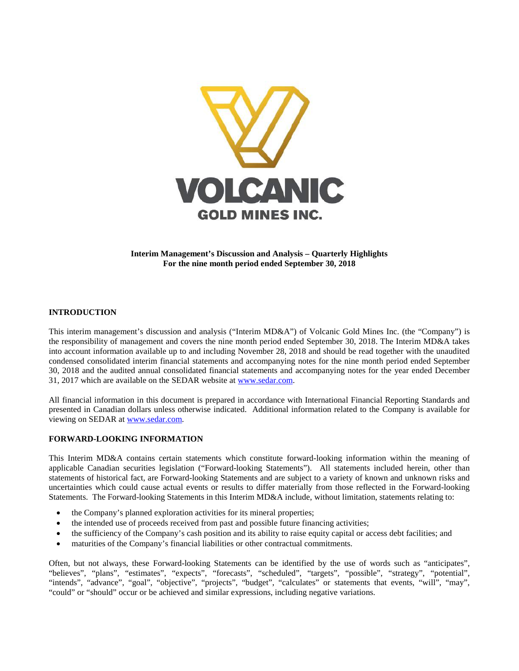

**Interim Management's Discussion and Analysis – Quarterly Highlights For the nine month period ended September 30, 2018**

## **INTRODUCTION**

This interim management's discussion and analysis ("Interim MD&A") of Volcanic Gold Mines Inc. (the "Company") is the responsibility of management and covers the nine month period ended September 30, 2018. The Interim MD&A takes into account information available up to and including November 28, 2018 and should be read together with the unaudited condensed consolidated interim financial statements and accompanying notes for the nine month period ended September 30, 2018 and the audited annual consolidated financial statements and accompanying notes for the year ended December 31, 2017 which are available on the SEDAR website a[t www.sedar.com.](http://www.sedar.com/)

All financial information in this document is prepared in accordance with International Financial Reporting Standards and presented in Canadian dollars unless otherwise indicated. Additional information related to the Company is available for viewing on SEDAR at [www.sedar.com.](http://www.sedar.com/)

#### **FORWARD-LOOKING INFORMATION**

This Interim MD&A contains certain statements which constitute forward-looking information within the meaning of applicable Canadian securities legislation ("Forward-looking Statements"). All statements included herein, other than statements of historical fact, are Forward-looking Statements and are subject to a variety of known and unknown risks and uncertainties which could cause actual events or results to differ materially from those reflected in the Forward-looking Statements. The Forward-looking Statements in this Interim MD&A include, without limitation, statements relating to:

- the Company's planned exploration activities for its mineral properties;
- the intended use of proceeds received from past and possible future financing activities;
- the sufficiency of the Company's cash position and its ability to raise equity capital or access debt facilities; and
- maturities of the Company's financial liabilities or other contractual commitments.

Often, but not always, these Forward-looking Statements can be identified by the use of words such as "anticipates", "believes", "plans", "estimates", "expects", "forecasts", "scheduled", "targets", "possible", "strategy", "potential", "intends", "advance", "goal", "objective", "projects", "budget", "calculates" or statements that events, "will", "may", "could" or "should" occur or be achieved and similar expressions, including negative variations.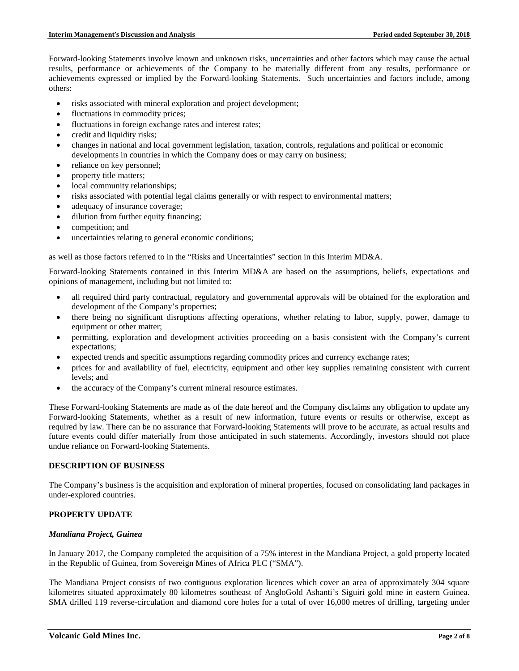Forward-looking Statements involve known and unknown risks, uncertainties and other factors which may cause the actual results, performance or achievements of the Company to be materially different from any results, performance or achievements expressed or implied by the Forward-looking Statements. Such uncertainties and factors include, among others:

- risks associated with mineral exploration and project development;
- fluctuations in commodity prices;
- fluctuations in foreign exchange rates and interest rates;
- credit and liquidity risks;
- changes in national and local government legislation, taxation, controls, regulations and political or economic developments in countries in which the Company does or may carry on business;
- reliance on key personnel;
- property title matters;
- local community relationships;
- risks associated with potential legal claims generally or with respect to environmental matters;
- adequacy of insurance coverage;
- dilution from further equity financing;
- competition; and
- uncertainties relating to general economic conditions;

as well as those factors referred to in the "Risks and Uncertainties" section in this Interim MD&A.

Forward-looking Statements contained in this Interim MD&A are based on the assumptions, beliefs, expectations and opinions of management, including but not limited to:

- all required third party contractual, regulatory and governmental approvals will be obtained for the exploration and development of the Company's properties;
- there being no significant disruptions affecting operations, whether relating to labor, supply, power, damage to equipment or other matter;
- permitting, exploration and development activities proceeding on a basis consistent with the Company's current expectations;
- expected trends and specific assumptions regarding commodity prices and currency exchange rates;
- prices for and availability of fuel, electricity, equipment and other key supplies remaining consistent with current levels; and
- the accuracy of the Company's current mineral resource estimates.

These Forward-looking Statements are made as of the date hereof and the Company disclaims any obligation to update any Forward-looking Statements, whether as a result of new information, future events or results or otherwise, except as required by law. There can be no assurance that Forward-looking Statements will prove to be accurate, as actual results and future events could differ materially from those anticipated in such statements. Accordingly, investors should not place undue reliance on Forward-looking Statements.

# **DESCRIPTION OF BUSINESS**

The Company's business is the acquisition and exploration of mineral properties, focused on consolidating land packages in under-explored countries.

## **PROPERTY UPDATE**

## *Mandiana Project, Guinea*

In January 2017, the Company completed the acquisition of a 75% interest in the Mandiana Project, a gold property located in the Republic of Guinea, from Sovereign Mines of Africa PLC ("SMA").

The Mandiana Project consists of two contiguous exploration licences which cover an area of approximately 304 square kilometres situated approximately 80 kilometres southeast of AngloGold Ashanti's Siguiri gold mine in eastern Guinea. SMA drilled 119 reverse-circulation and diamond core holes for a total of over 16,000 metres of drilling, targeting under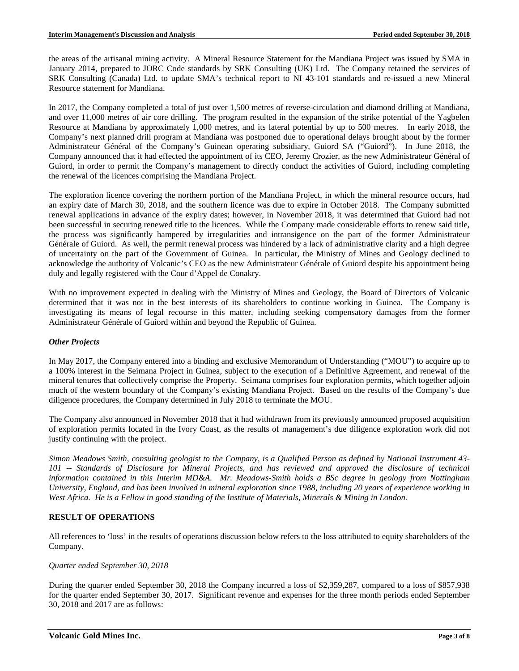the areas of the artisanal mining activity. A Mineral Resource Statement for the Mandiana Project was issued by SMA in January 2014, prepared to JORC Code standards by SRK Consulting (UK) Ltd. The Company retained the services of SRK Consulting (Canada) Ltd. to update SMA's technical report to NI 43-101 standards and re-issued a new Mineral Resource statement for Mandiana.

In 2017, the Company completed a total of just over 1,500 metres of reverse-circulation and diamond drilling at Mandiana, and over 11,000 metres of air core drilling. The program resulted in the expansion of the strike potential of the Yagbelen Resource at Mandiana by approximately 1,000 metres, and its lateral potential by up to 500 metres. In early 2018, the Company's next planned drill program at Mandiana was postponed due to operational delays brought about by the former Administrateur Général of the Company's Guinean operating subsidiary, Guiord SA ("Guiord"). In June 2018, the Company announced that it had effected the appointment of its CEO, Jeremy Crozier, as the new Administrateur Général of Guiord, in order to permit the Company's management to directly conduct the activities of Guiord, including completing the renewal of the licences comprising the Mandiana Project.

The exploration licence covering the northern portion of the Mandiana Project, in which the mineral resource occurs, had an expiry date of March 30, 2018, and the southern licence was due to expire in October 2018. The Company submitted renewal applications in advance of the expiry dates; however, in November 2018, it was determined that Guiord had not been successful in securing renewed title to the licences. While the Company made considerable efforts to renew said title, the process was significantly hampered by irregularities and intransigence on the part of the former Administrateur Générale of Guiord. As well, the permit renewal process was hindered by a lack of administrative clarity and a high degree of uncertainty on the part of the Government of Guinea. In particular, the Ministry of Mines and Geology declined to acknowledge the authority of Volcanic's CEO as the new Administrateur Générale of Guiord despite his appointment being duly and legally registered with the Cour d'Appel de Conakry.

With no improvement expected in dealing with the Ministry of Mines and Geology, the Board of Directors of Volcanic determined that it was not in the best interests of its shareholders to continue working in Guinea. The Company is investigating its means of legal recourse in this matter, including seeking compensatory damages from the former Administrateur Générale of Guiord within and beyond the Republic of Guinea.

## *Other Projects*

In May 2017, the Company entered into a binding and exclusive Memorandum of Understanding ("MOU") to acquire up to a 100% interest in the Seimana Project in Guinea, subject to the execution of a Definitive Agreement, and renewal of the mineral tenures that collectively comprise the Property. Seimana comprises four exploration permits, which together adjoin much of the western boundary of the Company's existing Mandiana Project. Based on the results of the Company's due diligence procedures, the Company determined in July 2018 to terminate the MOU.

The Company also announced in November 2018 that it had withdrawn from its previously announced proposed acquisition of exploration permits located in the Ivory Coast, as the results of management's due diligence exploration work did not justify continuing with the project.

*Simon Meadows Smith, consulting geologist to the Company, is a Qualified Person as defined by National Instrument 43- 101 -- Standards of Disclosure for Mineral Projects, and has reviewed and approved the disclosure of technical information contained in this Interim MD&A. Mr. Meadows-Smith holds a BSc degree in geology from Nottingham University, England, and has been involved in mineral exploration since 1988, including 20 years of experience working in West Africa. He is a Fellow in good standing of the Institute of Materials, Minerals & Mining in London.*

## **RESULT OF OPERATIONS**

All references to 'loss' in the results of operations discussion below refers to the loss attributed to equity shareholders of the Company.

#### *Quarter ended September 30, 2018*

During the quarter ended September 30, 2018 the Company incurred a loss of \$2,359,287, compared to a loss of \$857,938 for the quarter ended September 30, 2017. Significant revenue and expenses for the three month periods ended September 30, 2018 and 2017 are as follows: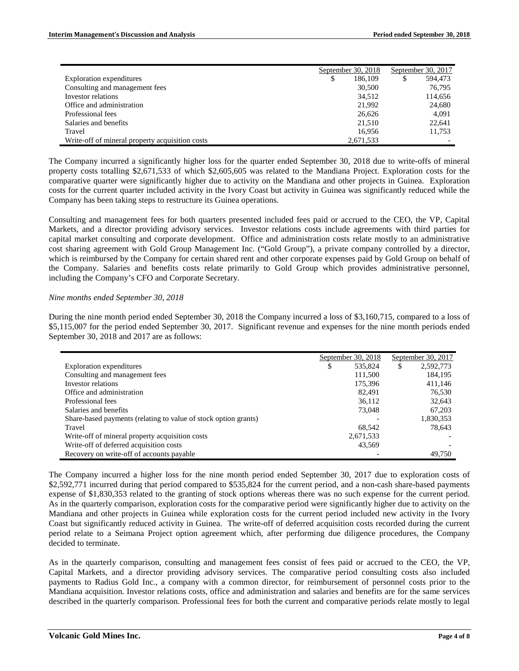|                                                 | September 30, 2018 | September 30, 2017 |         |
|-------------------------------------------------|--------------------|--------------------|---------|
| Exploration expenditures                        | \$<br>186,109      |                    | 594.473 |
| Consulting and management fees                  | 30,500             |                    | 76,795  |
| Investor relations                              | 34,512             |                    | 114,656 |
| Office and administration                       | 21.992             |                    | 24,680  |
| Professional fees                               | 26,626             |                    | 4,091   |
| Salaries and benefits                           | 21,510             |                    | 22,641  |
| Travel                                          | 16.956             |                    | 11,753  |
| Write-off of mineral property acquisition costs | 2,671,533          |                    |         |

The Company incurred a significantly higher loss for the quarter ended September 30, 2018 due to write-offs of mineral property costs totalling \$2,671,533 of which \$2,605,605 was related to the Mandiana Project. Exploration costs for the comparative quarter were significantly higher due to activity on the Mandiana and other projects in Guinea. Exploration costs for the current quarter included activity in the Ivory Coast but activity in Guinea was significantly reduced while the Company has been taking steps to restructure its Guinea operations.

Consulting and management fees for both quarters presented included fees paid or accrued to the CEO, the VP, Capital Markets, and a director providing advisory services. Investor relations costs include agreements with third parties for capital market consulting and corporate development. Office and administration costs relate mostly to an administrative cost sharing agreement with Gold Group Management Inc. ("Gold Group"), a private company controlled by a director, which is reimbursed by the Company for certain shared rent and other corporate expenses paid by Gold Group on behalf of the Company. Salaries and benefits costs relate primarily to Gold Group which provides administrative personnel, including the Company's CFO and Corporate Secretary.

### *Nine months ended September 30, 2018*

During the nine month period ended September 30, 2018 the Company incurred a loss of \$3,160,715, compared to a loss of \$5,115,007 for the period ended September 30, 2017. Significant revenue and expenses for the nine month periods ended September 30, 2018 and 2017 are as follows:

|                                                                 | September 30, 2018 | September 30, 2017 |  |
|-----------------------------------------------------------------|--------------------|--------------------|--|
| Exploration expenditures                                        | \$<br>535,824      | \$<br>2,592,773    |  |
| Consulting and management fees                                  | 111.500            | 184.195            |  |
| Investor relations                                              | 175.396            | 411.146            |  |
| Office and administration                                       | 82.491             | 76,530             |  |
| Professional fees                                               | 36.112             | 32,643             |  |
| Salaries and benefits                                           | 73,048             | 67.203             |  |
| Share-based payments (relating to value of stock option grants) |                    | 1,830,353          |  |
| Travel                                                          | 68.542             | 78.643             |  |
| Write-off of mineral property acquisition costs                 | 2,671,533          |                    |  |
| Write-off of deferred acquisition costs                         | 43,569             |                    |  |
| Recovery on write-off of accounts payable                       |                    | 49.750             |  |

The Company incurred a higher loss for the nine month period ended September 30, 2017 due to exploration costs of \$2,592,771 incurred during that period compared to \$535,824 for the current period, and a non-cash share-based payments expense of \$1,830,353 related to the granting of stock options whereas there was no such expense for the current period. As in the quarterly comparison, exploration costs for the comparative period were significantly higher due to activity on the Mandiana and other projects in Guinea while exploration costs for the current period included new activity in the Ivory Coast but significantly reduced activity in Guinea. The write-off of deferred acquisition costs recorded during the current period relate to a Seimana Project option agreement which, after performing due diligence procedures, the Company decided to terminate.

As in the quarterly comparison, consulting and management fees consist of fees paid or accrued to the CEO, the VP, Capital Markets, and a director providing advisory services. The comparative period consulting costs also included payments to Radius Gold Inc., a company with a common director, for reimbursement of personnel costs prior to the Mandiana acquisition. Investor relations costs, office and administration and salaries and benefits are for the same services described in the quarterly comparison. Professional fees for both the current and comparative periods relate mostly to legal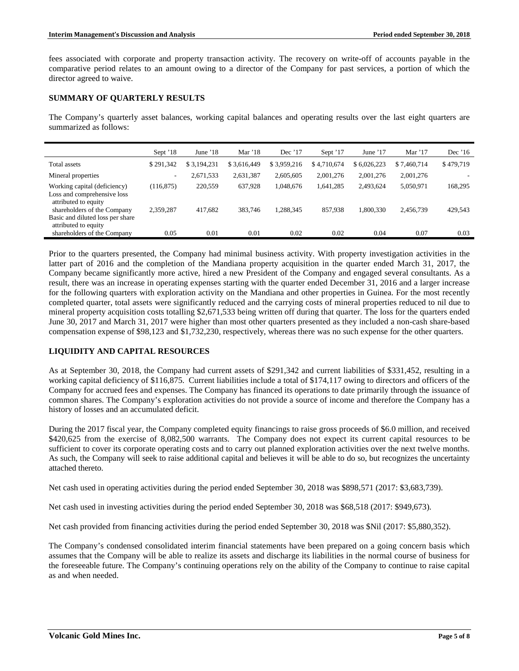fees associated with corporate and property transaction activity. The recovery on write-off of accounts payable in the comparative period relates to an amount owing to a director of the Company for past services, a portion of which the director agreed to waive.

## **SUMMARY OF QUARTERLY RESULTS**

The Company's quarterly asset balances, working capital balances and operating results over the last eight quarters are summarized as follows:

|                                                                                         | Sept '18   | June $18$   | Mar $'18$   | Dec $'17$   | Sept '17    | June $17$   | Mar $'17$   | Dec $16$  |
|-----------------------------------------------------------------------------------------|------------|-------------|-------------|-------------|-------------|-------------|-------------|-----------|
| Total assets                                                                            | \$291.342  | \$3.194.231 | \$3,616,449 | \$3,959,216 | \$4,710,674 | \$6,026,223 | \$7,460,714 | \$479,719 |
| Mineral properties                                                                      | $\sim$     | 2,671,533   | 2,631,387   | 2,605,605   | 2,001,276   | 2,001,276   | 2,001,276   |           |
| Working capital (deficiency)<br>Loss and comprehensive loss<br>attributed to equity     | (116, 875) | 220,559     | 637.928     | 1,048,676   | 1,641,285   | 2,493,624   | 5,050,971   | 168,295   |
| shareholders of the Company<br>Basic and diluted loss per share<br>attributed to equity | 2,359,287  | 417,682     | 383,746     | 1.288.345   | 857,938     | 1,800,330   | 2,456,739   | 429,543   |
| shareholders of the Company                                                             | 0.05       | 0.01        | 0.01        | 0.02        | 0.02        | 0.04        | 0.07        | 0.03      |

Prior to the quarters presented, the Company had minimal business activity. With property investigation activities in the latter part of 2016 and the completion of the Mandiana property acquisition in the quarter ended March 31, 2017, the Company became significantly more active, hired a new President of the Company and engaged several consultants. As a result, there was an increase in operating expenses starting with the quarter ended December 31, 2016 and a larger increase for the following quarters with exploration activity on the Mandiana and other properties in Guinea. For the most recently completed quarter, total assets were significantly reduced and the carrying costs of mineral properties reduced to nil due to mineral property acquisition costs totalling \$2,671,533 being written off during that quarter. The loss for the quarters ended June 30, 2017 and March 31, 2017 were higher than most other quarters presented as they included a non-cash share-based compensation expense of \$98,123 and \$1,732,230, respectively, whereas there was no such expense for the other quarters.

## **LIQUIDITY AND CAPITAL RESOURCES**

As at September 30, 2018, the Company had current assets of \$291,342 and current liabilities of \$331,452, resulting in a working capital deficiency of \$116,875. Current liabilities include a total of \$174,117 owing to directors and officers of the Company for accrued fees and expenses. The Company has financed its operations to date primarily through the issuance of common shares. The Company's exploration activities do not provide a source of income and therefore the Company has a history of losses and an accumulated deficit.

During the 2017 fiscal year, the Company completed equity financings to raise gross proceeds of \$6.0 million, and received \$420,625 from the exercise of 8,082,500 warrants. The Company does not expect its current capital resources to be sufficient to cover its corporate operating costs and to carry out planned exploration activities over the next twelve months. As such, the Company will seek to raise additional capital and believes it will be able to do so, but recognizes the uncertainty attached thereto.

Net cash used in operating activities during the period ended September 30, 2018 was \$898,571 (2017: \$3,683,739).

Net cash used in investing activities during the period ended September 30, 2018 was \$68,518 (2017: \$949,673).

Net cash provided from financing activities during the period ended September 30, 2018 was \$Nil (2017: \$5,880,352).

The Company's condensed consolidated interim financial statements have been prepared on a going concern basis which assumes that the Company will be able to realize its assets and discharge its liabilities in the normal course of business for the foreseeable future. The Company's continuing operations rely on the ability of the Company to continue to raise capital as and when needed.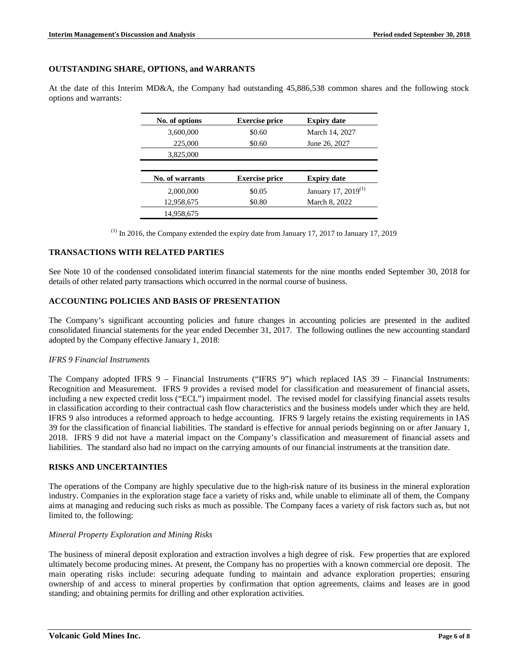#### **OUTSTANDING SHARE, OPTIONS, and WARRANTS**

At the date of this Interim MD&A, the Company had outstanding 45,886,538 common shares and the following stock options and warrants:

| No. of options  | <b>Exercise price</b> | <b>Expiry date</b>              |
|-----------------|-----------------------|---------------------------------|
| 3,600,000       | \$0.60                | March 14, 2027                  |
| 225,000         | \$0.60                | June 26, 2027                   |
| 3,825,000       |                       |                                 |
|                 |                       |                                 |
| No. of warrants | <b>Exercise price</b> | <b>Expiry date</b>              |
| 2,000,000       | \$0.05                | January 17, 2019 <sup>(1)</sup> |
|                 |                       |                                 |
| 12,958,675      | \$0.80                | March 8, 2022                   |

 $(1)$  In 2016, the Company extended the expiry date from January 17, 2017 to January 17, 2019

### **TRANSACTIONS WITH RELATED PARTIES**

See Note 10 of the condensed consolidated interim financial statements for the nine months ended September 30, 2018 for details of other related party transactions which occurred in the normal course of business.

#### **ACCOUNTING POLICIES AND BASIS OF PRESENTATION**

The Company's significant accounting policies and future changes in accounting policies are presented in the audited consolidated financial statements for the year ended December 31, 2017. The following outlines the new accounting standard adopted by the Company effective January 1, 2018:

#### *IFRS 9 Financial Instruments*

The Company adopted IFRS 9 – Financial Instruments ("IFRS 9") which replaced IAS 39 – Financial Instruments: Recognition and Measurement. IFRS 9 provides a revised model for classification and measurement of financial assets, including a new expected credit loss ("ECL") impairment model. The revised model for classifying financial assets results in classification according to their contractual cash flow characteristics and the business models under which they are held. IFRS 9 also introduces a reformed approach to hedge accounting. IFRS 9 largely retains the existing requirements in IAS 39 for the classification of financial liabilities. The standard is effective for annual periods beginning on or after January 1, 2018. IFRS 9 did not have a material impact on the Company's classification and measurement of financial assets and liabilities. The standard also had no impact on the carrying amounts of our financial instruments at the transition date.

## **RISKS AND UNCERTAINTIES**

The operations of the Company are highly speculative due to the high-risk nature of its business in the mineral exploration industry. Companies in the exploration stage face a variety of risks and, while unable to eliminate all of them, the Company aims at managing and reducing such risks as much as possible. The Company faces a variety of risk factors such as, but not limited to, the following:

#### *Mineral Property Exploration and Mining Risks*

The business of mineral deposit exploration and extraction involves a high degree of risk. Few properties that are explored ultimately become producing mines. At present, the Company has no properties with a known commercial ore deposit. The main operating risks include: securing adequate funding to maintain and advance exploration properties; ensuring ownership of and access to mineral properties by confirmation that option agreements, claims and leases are in good standing; and obtaining permits for drilling and other exploration activities.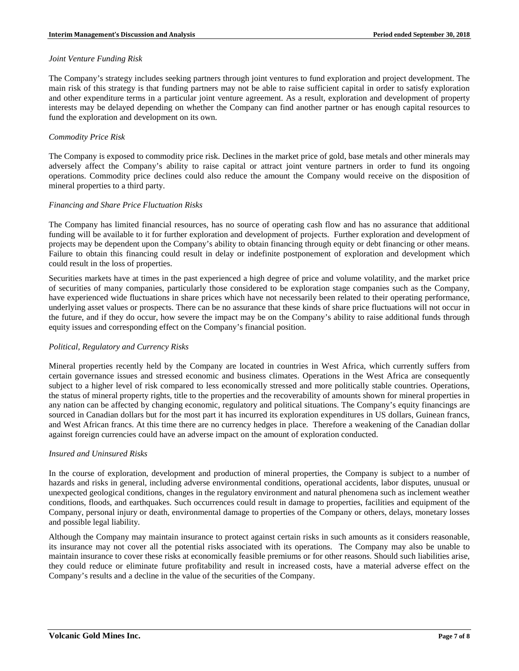### *Joint Venture Funding Risk*

The Company's strategy includes seeking partners through joint ventures to fund exploration and project development. The main risk of this strategy is that funding partners may not be able to raise sufficient capital in order to satisfy exploration and other expenditure terms in a particular joint venture agreement. As a result, exploration and development of property interests may be delayed depending on whether the Company can find another partner or has enough capital resources to fund the exploration and development on its own.

## *Commodity Price Risk*

The Company is exposed to commodity price risk. Declines in the market price of gold, base metals and other minerals may adversely affect the Company's ability to raise capital or attract joint venture partners in order to fund its ongoing operations. Commodity price declines could also reduce the amount the Company would receive on the disposition of mineral properties to a third party.

### *Financing and Share Price Fluctuation Risks*

The Company has limited financial resources, has no source of operating cash flow and has no assurance that additional funding will be available to it for further exploration and development of projects. Further exploration and development of projects may be dependent upon the Company's ability to obtain financing through equity or debt financing or other means. Failure to obtain this financing could result in delay or indefinite postponement of exploration and development which could result in the loss of properties.

Securities markets have at times in the past experienced a high degree of price and volume volatility, and the market price of securities of many companies, particularly those considered to be exploration stage companies such as the Company, have experienced wide fluctuations in share prices which have not necessarily been related to their operating performance, underlying asset values or prospects. There can be no assurance that these kinds of share price fluctuations will not occur in the future, and if they do occur, how severe the impact may be on the Company's ability to raise additional funds through equity issues and corresponding effect on the Company's financial position.

## *Political, Regulatory and Currency Risks*

Mineral properties recently held by the Company are located in countries in West Africa, which currently suffers from certain governance issues and stressed economic and business climates. Operations in the West Africa are consequently subject to a higher level of risk compared to less economically stressed and more politically stable countries. Operations, the status of mineral property rights, title to the properties and the recoverability of amounts shown for mineral properties in any nation can be affected by changing economic, regulatory and political situations. The Company's equity financings are sourced in Canadian dollars but for the most part it has incurred its exploration expenditures in US dollars, Guinean francs, and West African francs. At this time there are no currency hedges in place. Therefore a weakening of the Canadian dollar against foreign currencies could have an adverse impact on the amount of exploration conducted.

## *Insured and Uninsured Risks*

In the course of exploration, development and production of mineral properties, the Company is subject to a number of hazards and risks in general, including adverse environmental conditions, operational accidents, labor disputes, unusual or unexpected geological conditions, changes in the regulatory environment and natural phenomena such as inclement weather conditions, floods, and earthquakes. Such occurrences could result in damage to properties, facilities and equipment of the Company, personal injury or death, environmental damage to properties of the Company or others, delays, monetary losses and possible legal liability.

Although the Company may maintain insurance to protect against certain risks in such amounts as it considers reasonable, its insurance may not cover all the potential risks associated with its operations. The Company may also be unable to maintain insurance to cover these risks at economically feasible premiums or for other reasons. Should such liabilities arise, they could reduce or eliminate future profitability and result in increased costs, have a material adverse effect on the Company's results and a decline in the value of the securities of the Company.